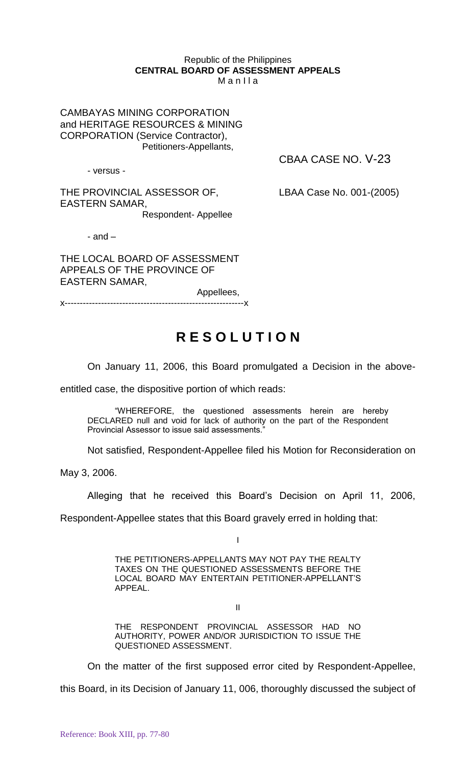## Republic of the Philippines **CENTRAL BOARD OF ASSESSMENT APPEALS** M a n I l a

CAMBAYAS MINING CORPORATION and HERITAGE RESOURCES & MINING CORPORATION (Service Contractor), Petitioners-Appellants,

- versus -

CBAA CASE NO. V-23

THE PROVINCIAL ASSESSOR OF, LBAA Case No. 001-(2005) EASTERN SAMAR,

Respondent- Appellee

 $-$  and  $-$ 

THE LOCAL BOARD OF ASSESSMENT APPEALS OF THE PROVINCE OF EASTERN SAMAR,

Appellees, x-----------------------------------------------------------x

## **R E S O L U T I O N**

On January 11, 2006, this Board promulgated a Decision in the above-

entitled case, the dispositive portion of which reads:

"WHEREFORE, the questioned assessments herein are hereby DECLARED null and void for lack of authority on the part of the Respondent Provincial Assessor to issue said assessments."

Not satisfied, Respondent-Appellee filed his Motion for Reconsideration on

May 3, 2006.

Alleging that he received this Board's Decision on April 11, 2006,

Respondent-Appellee states that this Board gravely erred in holding that:

I

THE PETITIONERS-APPELLANTS MAY NOT PAY THE REALTY TAXES ON THE QUESTIONED ASSESSMENTS BEFORE THE LOCAL BOARD MAY ENTERTAIN PETITIONER-APPELLANT'S APPEAL.

II

THE RESPONDENT PROVINCIAL ASSESSOR HAD NO AUTHORITY, POWER AND/OR JURISDICTION TO ISSUE THE QUESTIONED ASSESSMENT.

On the matter of the first supposed error cited by Respondent-Appellee,

this Board, in its Decision of January 11, 006, thoroughly discussed the subject of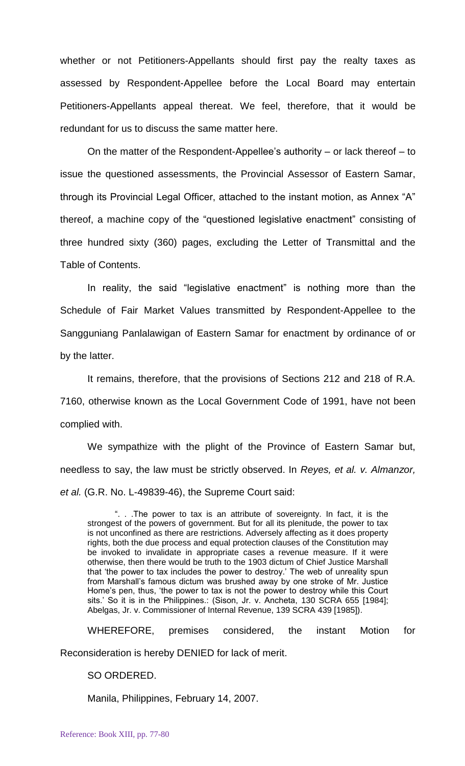whether or not Petitioners-Appellants should first pay the realty taxes as assessed by Respondent-Appellee before the Local Board may entertain Petitioners-Appellants appeal thereat. We feel, therefore, that it would be redundant for us to discuss the same matter here.

On the matter of the Respondent-Appellee's authority – or lack thereof – to issue the questioned assessments, the Provincial Assessor of Eastern Samar, through its Provincial Legal Officer, attached to the instant motion, as Annex "A" thereof, a machine copy of the "questioned legislative enactment" consisting of three hundred sixty (360) pages, excluding the Letter of Transmittal and the Table of Contents.

In reality, the said "legislative enactment" is nothing more than the Schedule of Fair Market Values transmitted by Respondent-Appellee to the Sangguniang Panlalawigan of Eastern Samar for enactment by ordinance of or by the latter.

It remains, therefore, that the provisions of Sections 212 and 218 of R.A. 7160, otherwise known as the Local Government Code of 1991, have not been complied with.

We sympathize with the plight of the Province of Eastern Samar but, needless to say, the law must be strictly observed. In *Reyes, et al. v. Almanzor, et al.* (G.R. No. L-49839-46), the Supreme Court said:

". . .The power to tax is an attribute of sovereignty. In fact, it is the strongest of the powers of government. But for all its plenitude, the power to tax is not unconfined as there are restrictions. Adversely affecting as it does property rights, both the due process and equal protection clauses of the Constitution may be invoked to invalidate in appropriate cases a revenue measure. If it were otherwise, then there would be truth to the 1903 dictum of Chief Justice Marshall that 'the power to tax includes the power to destroy.' The web of unreality spun from Marshall's famous dictum was brushed away by one stroke of Mr. Justice Home's pen, thus, 'the power to tax is not the power to destroy while this Court sits.' So it is in the Philippines.: (Sison, Jr. v. Ancheta, 130 SCRA 655 [1984]; Abelgas, Jr. v. Commissioner of Internal Revenue, 139 SCRA 439 [1985]).

WHEREFORE, premises considered, the instant Motion for

Reconsideration is hereby DENIED for lack of merit.

## SO ORDERED.

Manila, Philippines, February 14, 2007.